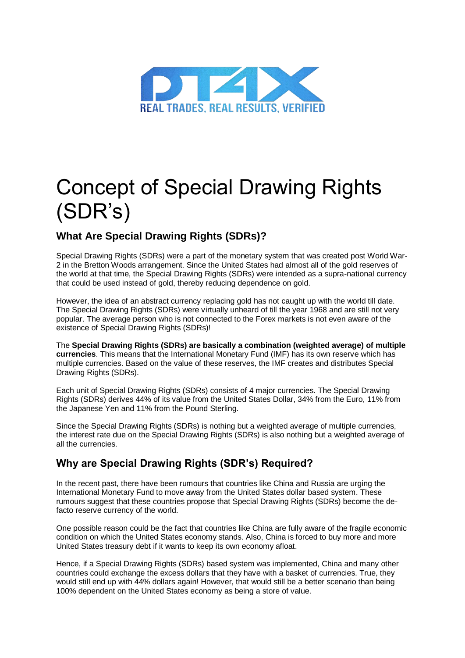

# Concept of Special Drawing Rights (SDR's)

## **What Are Special Drawing Rights (SDRs)?**

Special Drawing Rights (SDRs) were a part of the monetary system that was created post World War-2 in the Bretton Woods arrangement. Since the United States had almost all of the gold reserves of the world at that time, the Special Drawing Rights (SDRs) were intended as a supra-national currency that could be used instead of gold, thereby reducing dependence on gold.

However, the idea of an abstract currency replacing gold has not caught up with the world till date. The Special Drawing Rights (SDRs) were virtually unheard of till the year 1968 and are still not very popular. The average person who is not connected to the Forex markets is not even aware of the existence of Special Drawing Rights (SDRs)!

The **Special Drawing Rights (SDRs) are basically a combination (weighted average) of multiple currencies**. This means that the International Monetary Fund (IMF) has its own reserve which has multiple currencies. Based on the value of these reserves, the IMF creates and distributes Special Drawing Rights (SDRs).

Each unit of Special Drawing Rights (SDRs) consists of 4 major currencies. The Special Drawing Rights (SDRs) derives 44% of its value from the United States Dollar, 34% from the Euro, 11% from the Japanese Yen and 11% from the Pound Sterling.

Since the Special Drawing Rights (SDRs) is nothing but a weighted average of multiple currencies, the interest rate due on the Special Drawing Rights (SDRs) is also nothing but a weighted average of all the currencies.

### **Why are Special Drawing Rights (SDR's) Required?**

In the recent past, there have been rumours that countries like China and Russia are urging the International Monetary Fund to move away from the United States dollar based system. These rumours suggest that these countries propose that Special Drawing Rights (SDRs) become the defacto reserve currency of the world.

One possible reason could be the fact that countries like China are fully aware of the fragile economic condition on which the United States economy stands. Also, China is forced to buy more and more United States treasury debt if it wants to keep its own economy afloat.

Hence, if a Special Drawing Rights (SDRs) based system was implemented, China and many other countries could exchange the excess dollars that they have with a basket of currencies. True, they would still end up with 44% dollars again! However, that would still be a better scenario than being 100% dependent on the United States economy as being a store of value.